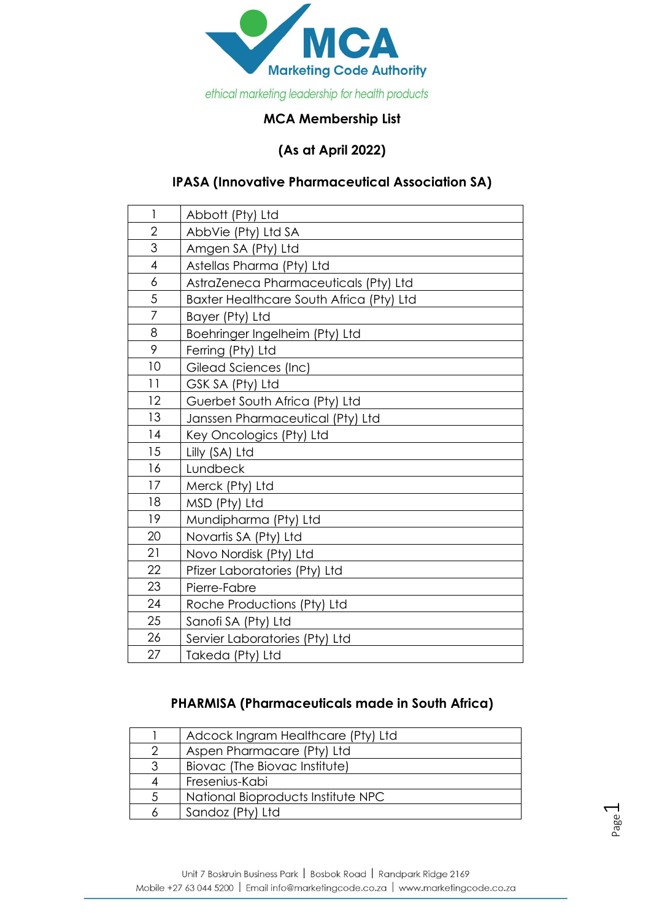

## **MCA Membership List**

### **(As at April 2022)**

## **IPASA (Innovative Pharmaceutical Association SA)**

| $\mathbf{I}$   | Abbott (Pty) Ltd                         |
|----------------|------------------------------------------|
| $\overline{2}$ | AbbVie (Pty) Ltd SA                      |
| 3              | Amgen SA (Pty) Ltd                       |
| $\overline{4}$ | Astellas Pharma (Pty) Ltd                |
| 6              | AstraZeneca Pharmaceuticals (Pty) Ltd    |
| 5              | Baxter Healthcare South Africa (Pty) Ltd |
| 7              | Bayer (Pty) Ltd                          |
| 8              | Boehringer Ingelheim (Pty) Ltd           |
| 9              | Ferring (Pty) Ltd                        |
| 10             | Gilead Sciences (Inc)                    |
| 11             | GSK SA (Pty) Ltd                         |
| 12             | Guerbet South Africa (Pty) Ltd           |
| 13             | Janssen Pharmaceutical (Pty) Ltd         |
| 14             | Key Oncologics (Pty) Ltd                 |
| 15             | Lilly (SA) Ltd                           |
| 16             | Lundbeck                                 |
| 17             | Merck (Pty) Ltd                          |
| 18             | MSD (Pty) Ltd                            |
| 19             | Mundipharma (Pty) Ltd                    |
| 20             | Novartis SA (Pty) Ltd                    |
| 21             | Novo Nordisk (Pty) Ltd                   |
| 22             | Pfizer Laboratories (Pty) Ltd            |
| 23             | Pierre-Fabre                             |
| 24             | Roche Productions (Pty) Ltd              |
| 25             | Sanofi SA (Pty) Ltd                      |
| 26             | Servier Laboratories (Pty) Ltd           |
| 27             | Takeda (Pty) Ltd                         |

## **PHARMISA (Pharmaceuticals made in South Africa)**

|               | Adcock Ingram Healthcare (Pty) Ltd |
|---------------|------------------------------------|
| $\mathcal{D}$ | Aspen Pharmacare (Pty) Ltd         |
|               | Biovac (The Biovac Institute)      |
|               | Fresenius-Kabi                     |
| 5             | National Bioproducts Institute NPC |
|               | Sandoz (Pty) Ltd                   |

Page  $\overline{\phantom{0}}$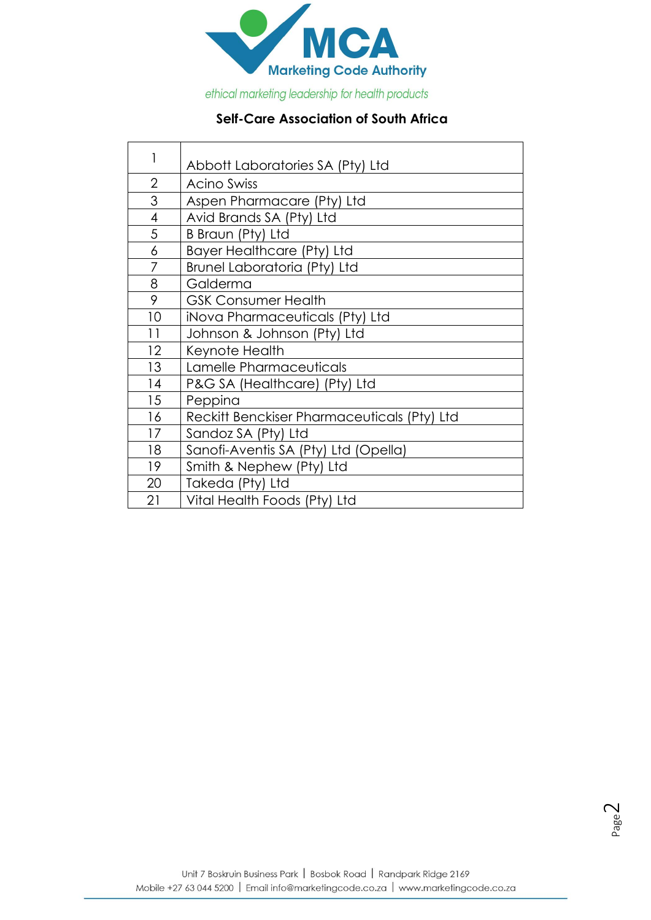

ethical marketing leadership for health products

Г

# **Self-Care Association of South Africa**

| 1              | Abbott Laboratories SA (Pty) Ltd            |
|----------------|---------------------------------------------|
| $\overline{2}$ | <b>Acino Swiss</b>                          |
| 3              | Aspen Pharmacare (Pty) Ltd                  |
| $\overline{4}$ | Avid Brands SA (Pty) Ltd                    |
| 5              | B Braun (Pty) Ltd                           |
| 6              | Bayer Healthcare (Pty) Ltd                  |
| 7              | Brunel Laboratoria (Pty) Ltd                |
| 8              | Galderma                                    |
| 9              | <b>GSK Consumer Health</b>                  |
| 10             | iNova Pharmaceuticals (Pty) Ltd             |
| 11             | Johnson & Johnson (Pty) Ltd                 |
| 12             | Keynote Health                              |
| 13             | Lamelle Pharmaceuticals                     |
| 14             | P&G SA (Healthcare) (Pty) Ltd               |
| 15             | Peppina                                     |
| 16             | Reckitt Benckiser Pharmaceuticals (Pty) Ltd |
| 17             | Sandoz SA (Pty) Ltd                         |
| 18             | Sanofi-Aventis SA (Pty) Ltd (Opella)        |
| 19             | Smith & Nephew (Pty) Ltd                    |
| 20             | Takeda (Pty) Ltd                            |
| 21             | Vital Health Foods (Pty) Ltd                |